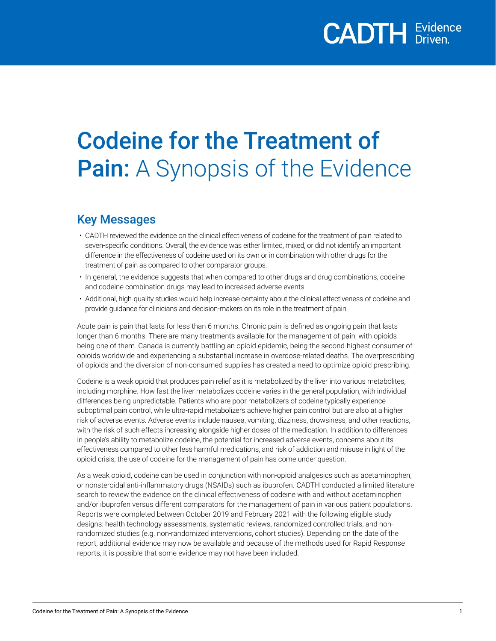# Codeine for the Treatment of Pain: A Synopsis of the Evidence

## Key Messages

- CADTH reviewed the evidence on the clinical effectiveness of codeine for the treatment of pain related to seven-specific conditions. Overall, the evidence was either limited, mixed, or did not identify an important difference in the effectiveness of codeine used on its own or in combination with other drugs for the treatment of pain as compared to other comparator groups.
- In general, the evidence suggests that when compared to other drugs and drug combinations, codeine and codeine combination drugs may lead to increased adverse events.
- Additional, high-quality studies would help increase certainty about the clinical effectiveness of codeine and provide guidance for clinicians and decision-makers on its role in the treatment of pain.

Acute pain is pain that lasts for less than 6 months. Chronic pain is defined as ongoing pain that lasts longer than 6 months. There are many treatments available for the management of pain, with opioids being one of them. Canada is currently battling an opioid epidemic, being the second-highest consumer of opioids worldwide and experiencing a substantial increase in overdose-related deaths. The overprescribing of opioids and the diversion of non-consumed supplies has created a need to optimize opioid prescribing.

Codeine is a weak opioid that produces pain relief as it is metabolized by the liver into various metabolites, including morphine. How fast the liver metabolizes codeine varies in the general population, with individual differences being unpredictable. Patients who are poor metabolizers of codeine typically experience suboptimal pain control, while ultra-rapid metabolizers achieve higher pain control but are also at a higher risk of adverse events. Adverse events include nausea, vomiting, dizziness, drowsiness, and other reactions, with the risk of such effects increasing alongside higher doses of the medication. In addition to differences in people's ability to metabolize codeine, the potential for increased adverse events, concerns about its effectiveness compared to other less harmful medications, and risk of addiction and misuse in light of the opioid crisis, the use of codeine for the management of pain has come under question.

As a weak opioid, codeine can be used in conjunction with non-opioid analgesics such as acetaminophen, or nonsteroidal anti-inflammatory drugs (NSAIDs) such as ibuprofen. CADTH conducted a limited literature search to review the evidence on the clinical effectiveness of codeine with and without acetaminophen and/or ibuprofen versus different comparators for the management of pain in various patient populations. Reports were completed between October 2019 and February 2021 with the following eligible study designs: health technology assessments, systematic reviews, randomized controlled trials, and nonrandomized studies (e.g. non-randomized interventions, cohort studies). Depending on the date of the report, additional evidence may now be available and because of the methods used for Rapid Response reports, it is possible that some evidence may not have been included.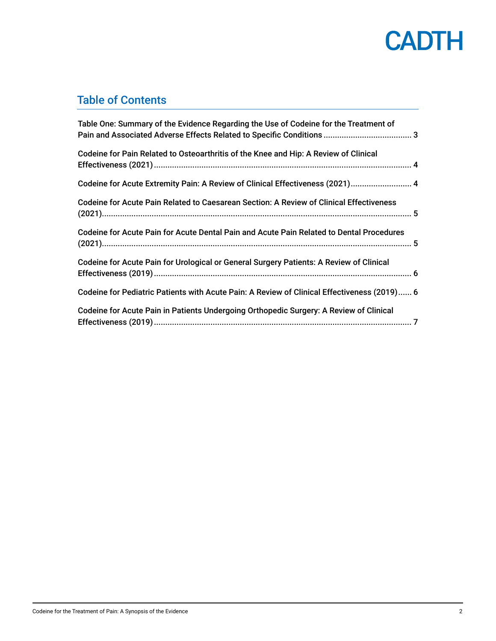

## Table of Contents

| Table One: Summary of the Evidence Regarding the Use of Codeine for the Treatment of        |  |
|---------------------------------------------------------------------------------------------|--|
| Codeine for Pain Related to Osteoarthritis of the Knee and Hip: A Review of Clinical        |  |
| Codeine for Acute Extremity Pain: A Review of Clinical Effectiveness (2021) 4               |  |
| Codeine for Acute Pain Related to Caesarean Section: A Review of Clinical Effectiveness     |  |
| Codeine for Acute Pain for Acute Dental Pain and Acute Pain Related to Dental Procedures    |  |
| Codeine for Acute Pain for Urological or General Surgery Patients: A Review of Clinical     |  |
| Codeine for Pediatric Patients with Acute Pain: A Review of Clinical Effectiveness (2019) 6 |  |
| Codeine for Acute Pain in Patients Undergoing Orthopedic Surgery: A Review of Clinical      |  |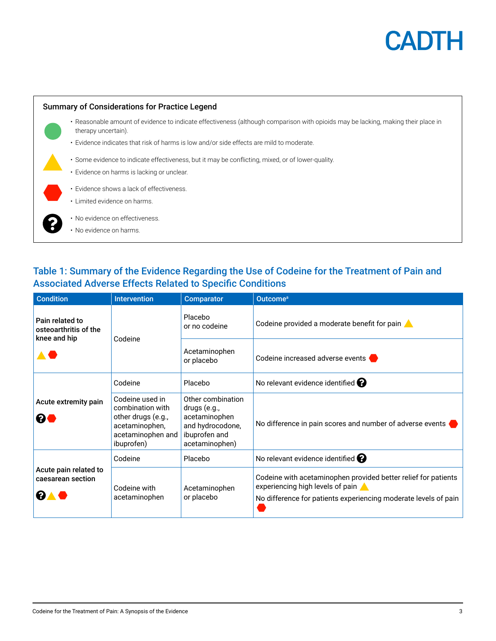

<span id="page-2-0"></span>

## Table 1: Summary of the Evidence Regarding the Use of Codeine for the Treatment of Pain and Associated Adverse Effects Related to Specific Conditions

| <b>Condition</b>                                                             | <b>Intervention</b>                                                                                            | <b>Comparator</b>                                                                                         | Outcome <sup>a</sup>                                                                                                                                                  |
|------------------------------------------------------------------------------|----------------------------------------------------------------------------------------------------------------|-----------------------------------------------------------------------------------------------------------|-----------------------------------------------------------------------------------------------------------------------------------------------------------------------|
| Pain related to<br>osteoarthritis of the<br>knee and hip<br>$\blacktriangle$ | Codeine                                                                                                        | Placebo<br>or no codeine                                                                                  | Codeine provided a moderate benefit for pain                                                                                                                          |
|                                                                              |                                                                                                                | Acetaminophen<br>or placebo                                                                               | Codeine increased adverse events                                                                                                                                      |
| Acute extremity pain<br>❷●                                                   | Codeine                                                                                                        | Placebo                                                                                                   | No relevant evidence identified $\bigcirc$                                                                                                                            |
|                                                                              | Codeine used in<br>combination with<br>other drugs (e.g.,<br>acetaminophen,<br>acetaminophen and<br>ibuprofen) | Other combination<br>drugs (e.g.,<br>acetaminophen<br>and hydrocodone,<br>ibuprofen and<br>acetaminophen) | No difference in pain scores and number of adverse events                                                                                                             |
|                                                                              | Codeine                                                                                                        | Placebo                                                                                                   | No relevant evidence identified $\bullet$                                                                                                                             |
| Acute pain related to<br>caesarean section<br>8▲                             | Codeine with<br>acetaminophen                                                                                  | Acetaminophen<br>or placebo                                                                               | Codeine with acetaminophen provided better relief for patients<br>experiencing high levels of pain<br>No difference for patients experiencing moderate levels of pain |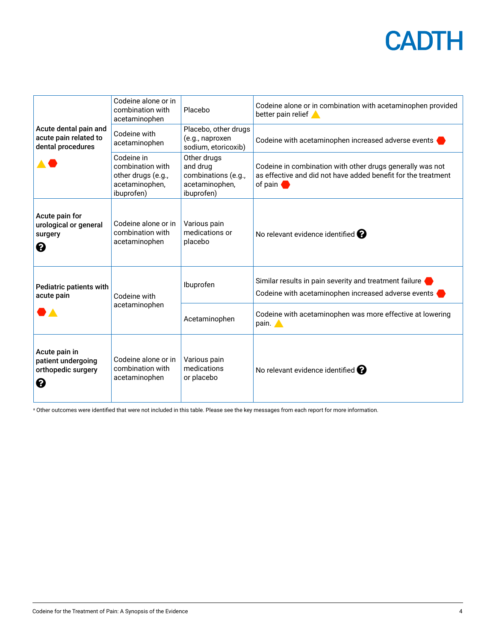# **CADTH**

<span id="page-3-0"></span>

| Acute dental pain and<br>acute pain related to<br>dental procedures | Codeine alone or in<br>combination with<br>acetaminophen                             | Placebo                                                                        | Codeine alone or in combination with acetaminophen provided<br>better pain relief                                                               |
|---------------------------------------------------------------------|--------------------------------------------------------------------------------------|--------------------------------------------------------------------------------|-------------------------------------------------------------------------------------------------------------------------------------------------|
|                                                                     | Codeine with<br>acetaminophen                                                        | Placebo, other drugs<br>(e.g., naproxen<br>sodium, etoricoxib)                 | Codeine with acetaminophen increased adverse events                                                                                             |
|                                                                     | Codeine in<br>combination with<br>other drugs (e.g.,<br>acetaminophen,<br>ibuprofen) | Other drugs<br>and drug<br>combinations (e.g.,<br>acetaminophen,<br>ibuprofen) | Codeine in combination with other drugs generally was not<br>as effective and did not have added benefit for the treatment<br>of pain $\bullet$ |
| Acute pain for<br>urological or general<br>surgery<br>0             | Codeine alone or in<br>combination with<br>acetaminophen                             | Various pain<br>medications or<br>placebo                                      | No relevant evidence identified $\bullet$                                                                                                       |
| Pediatric patients with<br>acute pain                               | Codeine with<br>acetaminophen                                                        | Ibuprofen                                                                      | Similar results in pain severity and treatment failure<br>Codeine with acetaminophen increased adverse events                                   |
|                                                                     |                                                                                      | Acetaminophen                                                                  | Codeine with acetaminophen was more effective at lowering<br>pain.                                                                              |
| Acute pain in<br>patient undergoing<br>orthopedic surgery<br>0      | Codeine alone or in<br>combination with<br>acetaminophen                             | Various pain<br>medications<br>or placebo                                      | No relevant evidence identified $\boldsymbol{e}$                                                                                                |

a Other outcomes were identified that were not included in this table. Please see the key messages from each report for more information.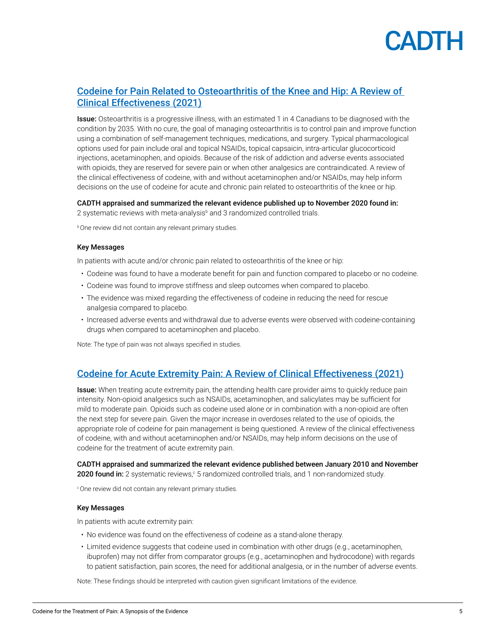

## <span id="page-4-0"></span>[Codeine for Pain Related to Osteoarthritis of the Knee and Hip: A Review of](https://cadth.ca/codeine-pain-related-osteoarthritis-knee-and-hip-review-clinical-effectiveness)  [Clinical Effectiveness \(2021\)](https://cadth.ca/codeine-pain-related-osteoarthritis-knee-and-hip-review-clinical-effectiveness)

**Issue:** Osteoarthritis is a progressive illness, with an estimated 1 in 4 Canadians to be diagnosed with the condition by 2035. With no cure, the goal of managing osteoarthritis is to control pain and improve function using a combination of self-management techniques, medications, and surgery. Typical pharmacological options used for pain include oral and topical NSAIDs, topical capsaicin, intra-articular glucocorticoid injections, acetaminophen, and opioids. Because of the risk of addiction and adverse events associated with opioids, they are reserved for severe pain or when other analgesics are contraindicated. A review of the clinical effectiveness of codeine, with and without acetaminophen and/or NSAIDs, may help inform decisions on the use of codeine for acute and chronic pain related to osteoarthritis of the knee or hip.

CADTH appraised and summarized the relevant evidence published up to November 2020 found in: 2 systematic reviews with meta-analysis<sup>b</sup> and 3 randomized controlled trials.

**b** One review did not contain any relevant primary studies.

#### Key Messages

In patients with acute and/or chronic pain related to osteoarthritis of the knee or hip:

- Codeine was found to have a moderate benefit for pain and function compared to placebo or no codeine.
- Codeine was found to improve stiffness and sleep outcomes when compared to placebo.
- The evidence was mixed regarding the effectiveness of codeine in reducing the need for rescue analgesia compared to placebo.
- Increased adverse events and withdrawal due to adverse events were observed with codeine-containing drugs when compared to acetaminophen and placebo.

Note: The type of pain was not always specified in studies.

### [Codeine for Acute Extremity Pain: A Review of Clinical Effectiveness](https://cadth.ca/codeine-acute-extremity-pain-review-clinical-effectiveness) (2021)

Issue: When treating acute extremity pain, the attending health care provider aims to quickly reduce pain intensity. Non-opioid analgesics such as NSAIDs, acetaminophen, and salicylates may be sufficient for mild to moderate pain. Opioids such as codeine used alone or in combination with a non-opioid are often the next step for severe pain. Given the major increase in overdoses related to the use of opioids, the appropriate role of codeine for pain management is being questioned. A review of the clinical effectiveness of codeine, with and without acetaminophen and/or NSAIDs, may help inform decisions on the use of codeine for the treatment of acute extremity pain.

CADTH appraised and summarized the relevant evidence published between January 2010 and November **2020 found in:** 2 systematic reviews,<sup>c</sup> 5 randomized controlled trials, and 1 non-randomized study.

<sup>c</sup>One review did not contain any relevant primary studies.

#### Key Messages

In patients with acute extremity pain:

- No evidence was found on the effectiveness of codeine as a stand-alone therapy.
- Limited evidence suggests that codeine used in combination with other drugs (e.g., acetaminophen, ibuprofen) may not differ from comparator groups (e.g., acetaminophen and hydrocodone) with regards to patient satisfaction, pain scores, the need for additional analgesia, or in the number of adverse events.

Note: These findings should be interpreted with caution given significant limitations of the evidence.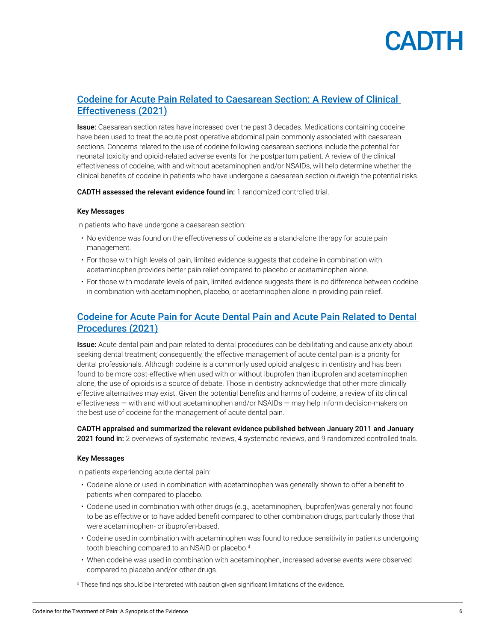# **ANTE**

## <span id="page-5-0"></span>[Codeine for Acute Pain Related to Caesarean Section: A Review of Clinical](https://cadth.ca/codeine-pain-related-caesarean-section-review-clinical-effectiveness-0)  [Effectiveness \(2021\)](https://cadth.ca/codeine-pain-related-caesarean-section-review-clinical-effectiveness-0)

**Issue:** Caesarean section rates have increased over the past 3 decades. Medications containing codeine have been used to treat the acute post-operative abdominal pain commonly associated with caesarean sections. Concerns related to the use of codeine following caesarean sections include the potential for neonatal toxicity and opioid-related adverse events for the postpartum patient. A review of the clinical effectiveness of codeine, with and without acetaminophen and/or NSAIDs, will help determine whether the clinical benefits of codeine in patients who have undergone a caesarean section outweigh the potential risks.

CADTH assessed the relevant evidence found in: 1 randomized controlled trial.

### Key Messages

In patients who have undergone a caesarean section:

- No evidence was found on the effectiveness of codeine as a stand-alone therapy for acute pain management.
- For those with high levels of pain, limited evidence suggests that codeine in combination with acetaminophen provides better pain relief compared to placebo or acetaminophen alone.
- For those with moderate levels of pain, limited evidence suggests there is no difference between codeine in combination with acetaminophen, placebo, or acetaminophen alone in providing pain relief.

## [Codeine for Acute Pain for Acute Dental Pain and Acute Pain Related to Dental](https://cadth.ca/codeine-acute-dental-pain-and-acute-pain-related-dental-procedures)  [Procedures \(2021\)](https://cadth.ca/codeine-acute-dental-pain-and-acute-pain-related-dental-procedures)

Issue: Acute dental pain and pain related to dental procedures can be debilitating and cause anxiety about seeking dental treatment; consequently, the effective management of acute dental pain is a priority for dental professionals. Although codeine is a commonly used opioid analgesic in dentistry and has been found to be more cost-effective when used with or without ibuprofen than ibuprofen and acetaminophen alone, the use of opioids is a source of debate. Those in dentistry acknowledge that other more clinically effective alternatives may exist. Given the potential benefits and harms of codeine, a review of its clinical effectiveness — with and without acetaminophen and/or NSAIDs — may help inform decision-makers on the best use of codeine for the management of acute dental pain.

CADTH appraised and summarized the relevant evidence published between January 2011 and January 2021 found in: 2 overviews of systematic reviews, 4 systematic reviews, and 9 randomized controlled trials.

#### Key Messages

In patients experiencing acute dental pain:

- Codeine alone or used in combination with acetaminophen was generally shown to offer a benefit to patients when compared to placebo.
- Codeine used in combination with other drugs (e.g., acetaminophen, ibuprofen)was generally not found to be as effective or to have added benefit compared to other combination drugs, particularly those that were acetaminophen- or ibuprofen-based.
- Codeine used in combination with acetaminophen was found to reduce sensitivity in patients undergoing tooth bleaching compared to an NSAID or placebo.<sup>d</sup>
- When codeine was used in combination with acetaminophen, increased adverse events were observed compared to placebo and/or other drugs.

<sup>d</sup> These findings should be interpreted with caution given significant limitations of the evidence.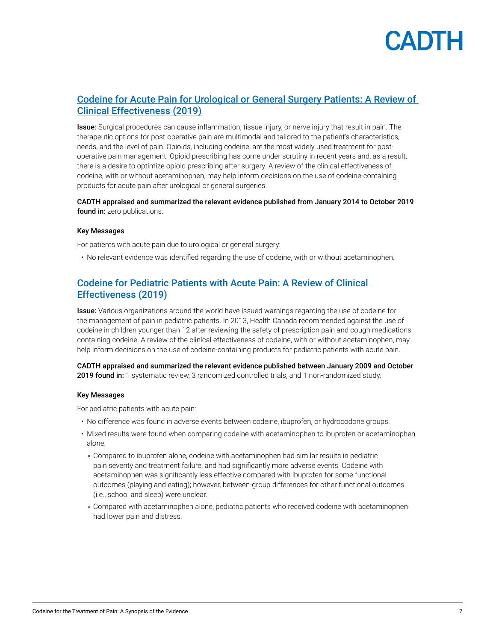

## <span id="page-6-0"></span>[Codeine for Acute Pain for Urological or General Surgery Patients: A Review of](https://www.cadth.ca/codeine-acute-pain-urological-or-general-surgery-patients-review-clinical-effectiveness-0)  [Clinical Effectiveness \(2019\)](https://www.cadth.ca/codeine-acute-pain-urological-or-general-surgery-patients-review-clinical-effectiveness-0)

Issue: Surgical procedures can cause inflammation, tissue injury, or nerve injury that result in pain. The therapeutic options for post-operative pain are multimodal and tailored to the patient's characteristics, needs, and the level of pain. Opioids, including codeine, are the most widely used treatment for postoperative pain management. Opioid prescribing has come under scrutiny in recent years and, as a result, there is a desire to optimize opioid prescribing after surgery. A review of the clinical effectiveness of codeine, with or without acetaminophen, may help inform decisions on the use of codeine-containing products for acute pain after urological or general surgeries.

### CADTH appraised and summarized the relevant evidence published from January 2014 to October 2019 found in: zero publications.

#### Key Messages

For patients with acute pain due to urological or general surgery:

• No relevant evidence was identified regarding the use of codeine, with or without acetaminophen.

## [Codeine for Pediatric Patients with Acute Pain: A Review of Clinical](https://www.cadth.ca/codeine-pediatric-patients-acute-pain-review-clinical-effectiveness)  [Effectiveness \(2019\)](https://www.cadth.ca/codeine-pediatric-patients-acute-pain-review-clinical-effectiveness)

Issue: Various organizations around the world have issued warnings regarding the use of codeine for the management of pain in pediatric patients. In 2013, Health Canada recommended against the use of codeine in children younger than 12 after reviewing the safety of prescription pain and cough medications containing codeine. A review of the clinical effectiveness of codeine, with or without acetaminophen, may help inform decisions on the use of codeine-containing products for pediatric patients with acute pain.

CADTH appraised and summarized the relevant evidence published between January 2009 and October **2019 found in:** 1 systematic review, 3 randomized controlled trials, and 1 non-randomized study.

#### Key Messages

For pediatric patients with acute pain:

- No difference was found in adverse events between codeine, ibuprofen, or hydrocodone groups.
- Mixed results were found when comparing codeine with acetaminophen to ibuprofen or acetaminophen alone:
	- . Compared to ibuprofen alone, codeine with acetaminophen had similar results in pediatric pain severity and treatment failure, and had significantly more adverse events. Codeine with acetaminophen was significantly less effective compared with ibuprofen for some functional outcomes (playing and eating); however, between-group differences for other functional outcomes (i.e., school and sleep) were unclear.
	- . Compared with acetaminophen alone, pediatric patients who received codeine with acetaminophen had lower pain and distress.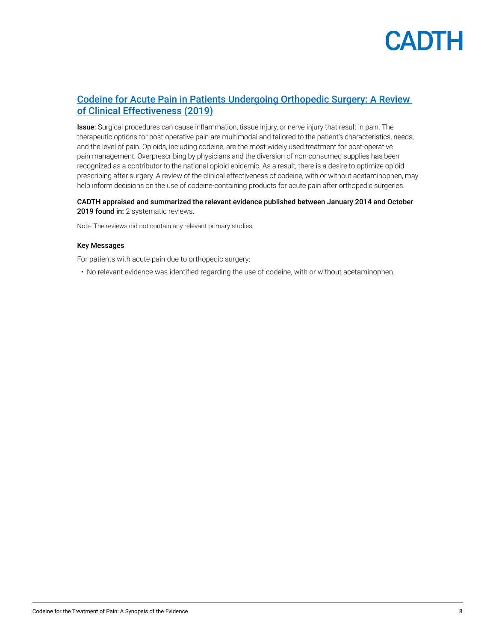

## [Codeine for Acute Pain in Patients Undergoing Orthopedic Surgery: A Review](https://www.cadth.ca/codeine-acute-pain-patients-undergoing-orthopedic-surgery-review-clinical-effectiveness)  [of Clinical Effectiveness \(2019\)](https://www.cadth.ca/codeine-acute-pain-patients-undergoing-orthopedic-surgery-review-clinical-effectiveness)

Issue: Surgical procedures can cause inflammation, tissue injury, or nerve injury that result in pain. The therapeutic options for post-operative pain are multimodal and tailored to the patient's characteristics, needs, and the level of pain. Opioids, including codeine, are the most widely used treatment for post-operative pain management. Overprescribing by physicians and the diversion of non-consumed supplies has been recognized as a contributor to the national opioid epidemic. As a result, there is a desire to optimize opioid prescribing after surgery. A review of the clinical effectiveness of codeine, with or without acetaminophen, may help inform decisions on the use of codeine-containing products for acute pain after orthopedic surgeries.

### CADTH appraised and summarized the relevant evidence published between January 2014 and October 2019 found in: 2 systematic reviews.

Note: The reviews did not contain any relevant primary studies.

#### Key Messages

For patients with acute pain due to orthopedic surgery:

• No relevant evidence was identified regarding the use of codeine, with or without acetaminophen.